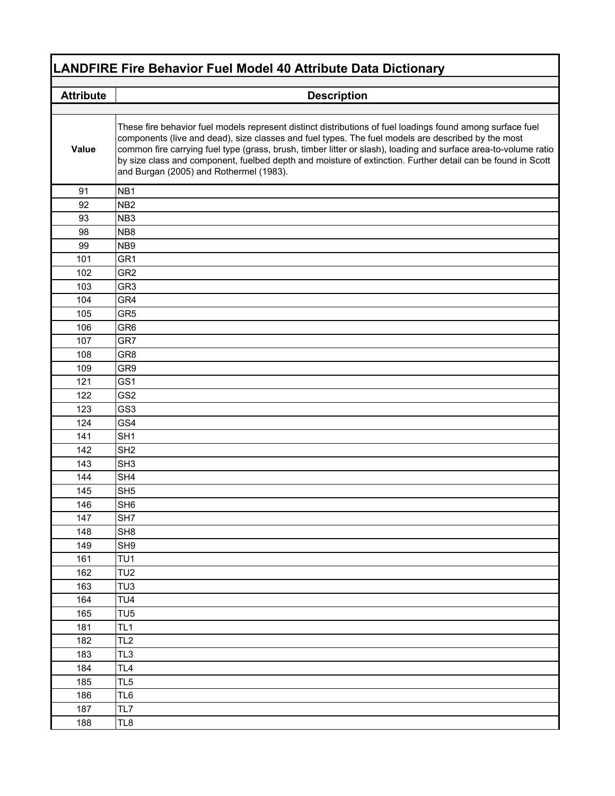| <b>LANDFIRE Fire Behavior Fuel Model 40 Attribute Data Dictionary</b> |                                                                                                                                                                                                                                                                                                                                                                                                                                                                                               |  |
|-----------------------------------------------------------------------|-----------------------------------------------------------------------------------------------------------------------------------------------------------------------------------------------------------------------------------------------------------------------------------------------------------------------------------------------------------------------------------------------------------------------------------------------------------------------------------------------|--|
| <b>Attribute</b>                                                      | <b>Description</b>                                                                                                                                                                                                                                                                                                                                                                                                                                                                            |  |
|                                                                       |                                                                                                                                                                                                                                                                                                                                                                                                                                                                                               |  |
| Value                                                                 | These fire behavior fuel models represent distinct distributions of fuel loadings found among surface fuel<br>components (live and dead), size classes and fuel types. The fuel models are described by the most<br>common fire carrying fuel type (grass, brush, timber litter or slash), loading and surface area-to-volume ratio<br>by size class and component, fuelbed depth and moisture of extinction. Further detail can be found in Scott<br>and Burgan (2005) and Rothermel (1983). |  |
| 91                                                                    | NB <sub>1</sub>                                                                                                                                                                                                                                                                                                                                                                                                                                                                               |  |
| 92                                                                    | NB <sub>2</sub>                                                                                                                                                                                                                                                                                                                                                                                                                                                                               |  |
| 93                                                                    | NB <sub>3</sub>                                                                                                                                                                                                                                                                                                                                                                                                                                                                               |  |
| 98                                                                    | NB <sub>8</sub>                                                                                                                                                                                                                                                                                                                                                                                                                                                                               |  |
| 99                                                                    | NB <sub>9</sub>                                                                                                                                                                                                                                                                                                                                                                                                                                                                               |  |
| 101                                                                   | GR <sub>1</sub>                                                                                                                                                                                                                                                                                                                                                                                                                                                                               |  |
| 102                                                                   | GR <sub>2</sub>                                                                                                                                                                                                                                                                                                                                                                                                                                                                               |  |
| 103                                                                   | GR <sub>3</sub>                                                                                                                                                                                                                                                                                                                                                                                                                                                                               |  |
| 104                                                                   | GR4                                                                                                                                                                                                                                                                                                                                                                                                                                                                                           |  |
| 105                                                                   | GR <sub>5</sub>                                                                                                                                                                                                                                                                                                                                                                                                                                                                               |  |
| 106                                                                   | GR <sub>6</sub>                                                                                                                                                                                                                                                                                                                                                                                                                                                                               |  |
| 107                                                                   | GR7                                                                                                                                                                                                                                                                                                                                                                                                                                                                                           |  |
| 108                                                                   | GR <sub>8</sub>                                                                                                                                                                                                                                                                                                                                                                                                                                                                               |  |
| 109                                                                   | GR9                                                                                                                                                                                                                                                                                                                                                                                                                                                                                           |  |
| 121                                                                   | GS <sub>1</sub>                                                                                                                                                                                                                                                                                                                                                                                                                                                                               |  |
| 122                                                                   | GS <sub>2</sub>                                                                                                                                                                                                                                                                                                                                                                                                                                                                               |  |
| 123                                                                   | GS <sub>3</sub>                                                                                                                                                                                                                                                                                                                                                                                                                                                                               |  |
| 124                                                                   | GS4                                                                                                                                                                                                                                                                                                                                                                                                                                                                                           |  |
| 141                                                                   | SH <sub>1</sub>                                                                                                                                                                                                                                                                                                                                                                                                                                                                               |  |
| 142                                                                   | SH <sub>2</sub>                                                                                                                                                                                                                                                                                                                                                                                                                                                                               |  |
| 143                                                                   | SH <sub>3</sub>                                                                                                                                                                                                                                                                                                                                                                                                                                                                               |  |
| 144                                                                   | SH <sub>4</sub>                                                                                                                                                                                                                                                                                                                                                                                                                                                                               |  |
| 145                                                                   | SH <sub>5</sub>                                                                                                                                                                                                                                                                                                                                                                                                                                                                               |  |
| 146                                                                   | SH <sub>6</sub>                                                                                                                                                                                                                                                                                                                                                                                                                                                                               |  |
| 147                                                                   | SH7                                                                                                                                                                                                                                                                                                                                                                                                                                                                                           |  |
| 148                                                                   | SH <sub>8</sub>                                                                                                                                                                                                                                                                                                                                                                                                                                                                               |  |
| 149                                                                   | SH <sub>9</sub>                                                                                                                                                                                                                                                                                                                                                                                                                                                                               |  |
| 161                                                                   | TU <sub>1</sub>                                                                                                                                                                                                                                                                                                                                                                                                                                                                               |  |
| 162                                                                   | TU <sub>2</sub>                                                                                                                                                                                                                                                                                                                                                                                                                                                                               |  |
| 163                                                                   | TU <sub>3</sub>                                                                                                                                                                                                                                                                                                                                                                                                                                                                               |  |
| 164                                                                   | TU <sub>4</sub>                                                                                                                                                                                                                                                                                                                                                                                                                                                                               |  |
| 165                                                                   | TU <sub>5</sub>                                                                                                                                                                                                                                                                                                                                                                                                                                                                               |  |
| 181                                                                   | TL <sub>1</sub>                                                                                                                                                                                                                                                                                                                                                                                                                                                                               |  |
| 182                                                                   | TL <sub>2</sub>                                                                                                                                                                                                                                                                                                                                                                                                                                                                               |  |
| 183                                                                   | TL <sub>3</sub>                                                                                                                                                                                                                                                                                                                                                                                                                                                                               |  |
| 184                                                                   | TL <sub>4</sub>                                                                                                                                                                                                                                                                                                                                                                                                                                                                               |  |
| 185                                                                   | TL <sub>5</sub>                                                                                                                                                                                                                                                                                                                                                                                                                                                                               |  |
| 186                                                                   | TL <sub>6</sub>                                                                                                                                                                                                                                                                                                                                                                                                                                                                               |  |
| 187                                                                   | TL7                                                                                                                                                                                                                                                                                                                                                                                                                                                                                           |  |
| 188                                                                   | TL8                                                                                                                                                                                                                                                                                                                                                                                                                                                                                           |  |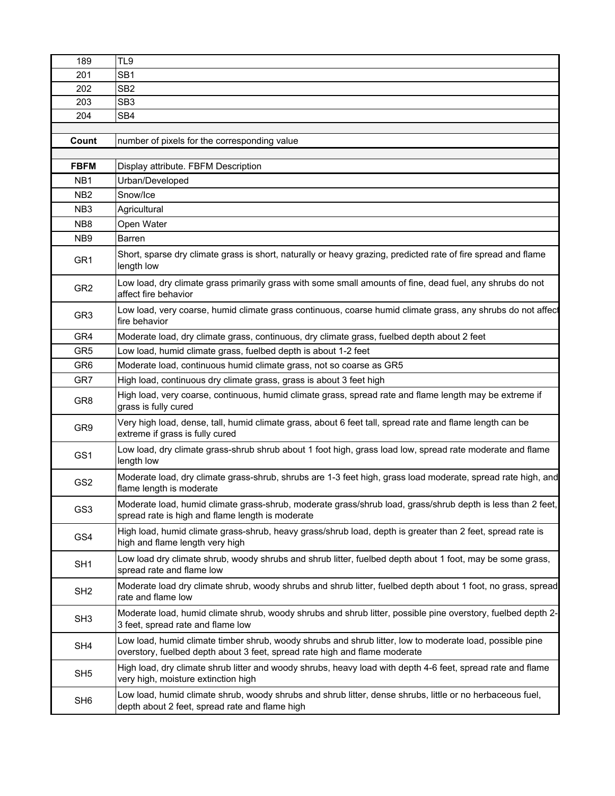| 189              | TL9                                                                                                                                                                                    |
|------------------|----------------------------------------------------------------------------------------------------------------------------------------------------------------------------------------|
| 201              | SB <sub>1</sub>                                                                                                                                                                        |
| 202              | SB <sub>2</sub>                                                                                                                                                                        |
| 203              | SB <sub>3</sub>                                                                                                                                                                        |
| 204              | SB4                                                                                                                                                                                    |
|                  |                                                                                                                                                                                        |
| Count            | number of pixels for the corresponding value                                                                                                                                           |
| <b>FBFM</b>      | Display attribute. FBFM Description                                                                                                                                                    |
| N <sub>B</sub> 1 | Urban/Developed                                                                                                                                                                        |
| NB <sub>2</sub>  | Snow/Ice                                                                                                                                                                               |
| NB <sub>3</sub>  | Agricultural                                                                                                                                                                           |
| NB <sub>8</sub>  | Open Water                                                                                                                                                                             |
| NB <sub>9</sub>  | Barren                                                                                                                                                                                 |
| GR <sub>1</sub>  | Short, sparse dry climate grass is short, naturally or heavy grazing, predicted rate of fire spread and flame<br>length low                                                            |
| GR <sub>2</sub>  | Low load, dry climate grass primarily grass with some small amounts of fine, dead fuel, any shrubs do not<br>affect fire behavior                                                      |
| GR <sub>3</sub>  | Low load, very coarse, humid climate grass continuous, coarse humid climate grass, any shrubs do not affect<br>fire behavior                                                           |
| GR4              | Moderate load, dry climate grass, continuous, dry climate grass, fuelbed depth about 2 feet                                                                                            |
| GR <sub>5</sub>  | Low load, humid climate grass, fuelbed depth is about 1-2 feet                                                                                                                         |
| GR <sub>6</sub>  | Moderate load, continuous humid climate grass, not so coarse as GR5                                                                                                                    |
| GR7              | High load, continuous dry climate grass, grass is about 3 feet high                                                                                                                    |
| GR8              | High load, very coarse, continuous, humid climate grass, spread rate and flame length may be extreme if<br>grass is fully cured                                                        |
| GR9              | Very high load, dense, tall, humid climate grass, about 6 feet tall, spread rate and flame length can be<br>extreme if grass is fully cured                                            |
| GS1              | Low load, dry climate grass-shrub shrub about 1 foot high, grass load low, spread rate moderate and flame<br>length low                                                                |
| GS <sub>2</sub>  | Moderate load, dry climate grass-shrub, shrubs are 1-3 feet high, grass load moderate, spread rate high, and<br>flame length is moderate                                               |
| GS3              | Moderate load, humid climate grass-shrub, moderate grass/shrub load, grass/shrub depth is less than 2 feet,<br>spread rate is high and flame length is moderate                        |
| GS4              | High load, humid climate grass-shrub, heavy grass/shrub load, depth is greater than 2 feet, spread rate is<br>high and flame length very high                                          |
| SH <sub>1</sub>  | Low load dry climate shrub, woody shrubs and shrub litter, fuelbed depth about 1 foot, may be some grass,<br>spread rate and flame low                                                 |
| SH <sub>2</sub>  | Moderate load dry climate shrub, woody shrubs and shrub litter, fuelbed depth about 1 foot, no grass, spread<br>rate and flame low                                                     |
| SH <sub>3</sub>  | Moderate load, humid climate shrub, woody shrubs and shrub litter, possible pine overstory, fuelbed depth 2-<br>3 feet, spread rate and flame low                                      |
| SH4              | Low load, humid climate timber shrub, woody shrubs and shrub litter, low to moderate load, possible pine<br>overstory, fuelbed depth about 3 feet, spread rate high and flame moderate |
| SH <sub>5</sub>  | High load, dry climate shrub litter and woody shrubs, heavy load with depth 4-6 feet, spread rate and flame<br>very high, moisture extinction high                                     |
| SH <sub>6</sub>  | Low load, humid climate shrub, woody shrubs and shrub litter, dense shrubs, little or no herbaceous fuel,<br>depth about 2 feet, spread rate and flame high                            |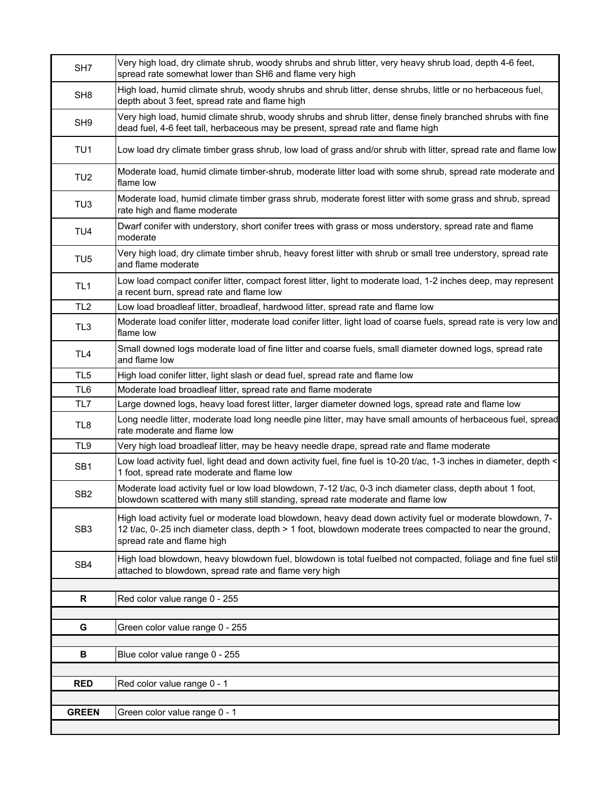| SH <sub>7</sub> | Very high load, dry climate shrub, woody shrubs and shrub litter, very heavy shrub load, depth 4-6 feet,<br>spread rate somewhat lower than SH6 and flame very high                                                                                  |
|-----------------|------------------------------------------------------------------------------------------------------------------------------------------------------------------------------------------------------------------------------------------------------|
| SH <sub>8</sub> | High load, humid climate shrub, woody shrubs and shrub litter, dense shrubs, little or no herbaceous fuel,<br>depth about 3 feet, spread rate and flame high                                                                                         |
| SH <sub>9</sub> | Very high load, humid climate shrub, woody shrubs and shrub litter, dense finely branched shrubs with fine<br>dead fuel, 4-6 feet tall, herbaceous may be present, spread rate and flame high                                                        |
| TU <sub>1</sub> | Low load dry climate timber grass shrub, low load of grass and/or shrub with litter, spread rate and flame low                                                                                                                                       |
| TU <sub>2</sub> | Moderate load, humid climate timber-shrub, moderate litter load with some shrub, spread rate moderate and<br>flame low                                                                                                                               |
| TU <sub>3</sub> | Moderate load, humid climate timber grass shrub, moderate forest litter with some grass and shrub, spread<br>rate high and flame moderate                                                                                                            |
| TU <sub>4</sub> | Dwarf conifer with understory, short conifer trees with grass or moss understory, spread rate and flame<br>moderate                                                                                                                                  |
| TU <sub>5</sub> | Very high load, dry climate timber shrub, heavy forest litter with shrub or small tree understory, spread rate<br>and flame moderate                                                                                                                 |
| TL <sub>1</sub> | Low load compact conifer litter, compact forest litter, light to moderate load, 1-2 inches deep, may represent<br>a recent burn, spread rate and flame low                                                                                           |
| TL <sub>2</sub> | Low load broadleaf litter, broadleaf, hardwood litter, spread rate and flame low                                                                                                                                                                     |
| TL <sub>3</sub> | Moderate load conifer litter, moderate load conifer litter, light load of coarse fuels, spread rate is very low and<br>flame low                                                                                                                     |
| TL <sub>4</sub> | Small downed logs moderate load of fine litter and coarse fuels, small diameter downed logs, spread rate<br>and flame low                                                                                                                            |
| TL <sub>5</sub> | High load conifer litter, light slash or dead fuel, spread rate and flame low                                                                                                                                                                        |
| TL <sub>6</sub> | Moderate load broadleaf litter, spread rate and flame moderate                                                                                                                                                                                       |
| TL7             | Large downed logs, heavy load forest litter, larger diameter downed logs, spread rate and flame low                                                                                                                                                  |
| TL <sub>8</sub> | Long needle litter, moderate load long needle pine litter, may have small amounts of herbaceous fuel, spread<br>rate moderate and flame low                                                                                                          |
| TL <sub>9</sub> | Very high load broadleaf litter, may be heavy needle drape, spread rate and flame moderate                                                                                                                                                           |
| SB <sub>1</sub> | Low load activity fuel, light dead and down activity fuel, fine fuel is 10-20 t/ac, 1-3 inches in diameter, depth <<br>1 foot, spread rate moderate and flame low                                                                                    |
| SB <sub>2</sub> | Moderate load activity fuel or low load blowdown, 7-12 t/ac, 0-3 inch diameter class, depth about 1 foot,<br>blowdown scattered with many still standing, spread rate moderate and flame low                                                         |
| SB <sub>3</sub> | High load activity fuel or moderate load blowdown, heavy dead down activity fuel or moderate blowdown, 7-<br>12 t/ac, 0-.25 inch diameter class, depth > 1 foot, blowdown moderate trees compacted to near the ground,<br>spread rate and flame high |
| SB4             | High load blowdown, heavy blowdown fuel, blowdown is total fuelbed not compacted, foliage and fine fuel stil<br>attached to blowdown, spread rate and flame very high                                                                                |
|                 |                                                                                                                                                                                                                                                      |
| R               | Red color value range 0 - 255                                                                                                                                                                                                                        |
|                 |                                                                                                                                                                                                                                                      |
| G               | Green color value range 0 - 255                                                                                                                                                                                                                      |
| В               | Blue color value range 0 - 255                                                                                                                                                                                                                       |
|                 |                                                                                                                                                                                                                                                      |
| <b>RED</b>      | Red color value range 0 - 1                                                                                                                                                                                                                          |
|                 |                                                                                                                                                                                                                                                      |
| <b>GREEN</b>    | Green color value range 0 - 1                                                                                                                                                                                                                        |